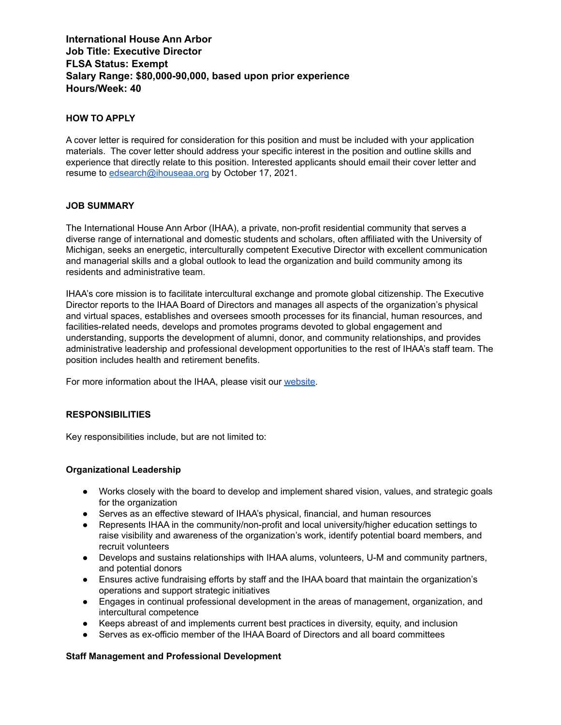# **International House Ann Arbor Job Title: Executive Director FLSA Status: Exempt Salary Range: \$80,000-90,000, based upon prior experience Hours/Week: 40**

## **HOW TO APPLY**

A cover letter is required for consideration for this position and must be included with your application materials. The cover letter should address your specific interest in the position and outline skills and experience that directly relate to this position. Interested applicants should email their cover letter and resume to [edsearch@ihouseaa.org](mailto:edsearch@ihouseaa.org) by October 17, 2021.

## **JOB SUMMARY**

The International House Ann Arbor (IHAA), a private, non-profit residential community that serves a diverse range of international and domestic students and scholars, often affiliated with the University of Michigan, seeks an energetic, interculturally competent Executive Director with excellent communication and managerial skills and a global outlook to lead the organization and build community among its residents and administrative team.

IHAA's core mission is to facilitate intercultural exchange and promote global citizenship. The Executive Director reports to the IHAA Board of Directors and manages all aspects of the organization's physical and virtual spaces, establishes and oversees smooth processes for its financial, human resources, and facilities-related needs, develops and promotes programs devoted to global engagement and understanding, supports the development of alumni, donor, and community relationships, and provides administrative leadership and professional development opportunities to the rest of IHAA's staff team. The position includes health and retirement benefits.

For more information about the IHAA, please visit our [website](https://ihouseaa.org/).

### **RESPONSIBILITIES**

Key responsibilities include, but are not limited to:

### **Organizational Leadership**

- Works closely with the board to develop and implement shared vision, values, and strategic goals for the organization
- Serves as an effective steward of IHAA's physical, financial, and human resources
- Represents IHAA in the community/non-profit and local university/higher education settings to raise visibility and awareness of the organization's work, identify potential board members, and recruit volunteers
- Develops and sustains relationships with IHAA alums, volunteers, U-M and community partners, and potential donors
- Ensures active fundraising efforts by staff and the IHAA board that maintain the organization's operations and support strategic initiatives
- Engages in continual professional development in the areas of management, organization, and intercultural competence
- Keeps abreast of and implements current best practices in diversity, equity, and inclusion
- Serves as ex-officio member of the IHAA Board of Directors and all board committees

### **Staff Management and Professional Development**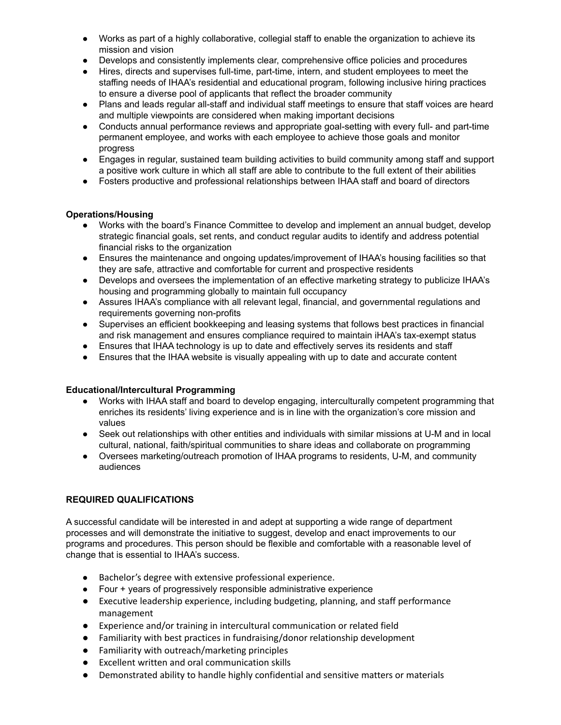- Works as part of a highly collaborative, collegial staff to enable the organization to achieve its mission and vision
- Develops and consistently implements clear, comprehensive office policies and procedures
- Hires, directs and supervises full-time, part-time, intern, and student employees to meet the staffing needs of IHAA's residential and educational program, following inclusive hiring practices to ensure a diverse pool of applicants that reflect the broader community
- Plans and leads regular all-staff and individual staff meetings to ensure that staff voices are heard and multiple viewpoints are considered when making important decisions
- Conducts annual performance reviews and appropriate goal-setting with every full- and part-time permanent employee, and works with each employee to achieve those goals and monitor progress
- Engages in regular, sustained team building activities to build community among staff and support a positive work culture in which all staff are able to contribute to the full extent of their abilities
- Fosters productive and professional relationships between IHAA staff and board of directors

# **Operations/Housing**

- Works with the board's Finance Committee to develop and implement an annual budget, develop strategic financial goals, set rents, and conduct regular audits to identify and address potential financial risks to the organization
- Ensures the maintenance and ongoing updates/improvement of IHAA's housing facilities so that they are safe, attractive and comfortable for current and prospective residents
- Develops and oversees the implementation of an effective marketing strategy to publicize IHAA's housing and programming globally to maintain full occupancy
- Assures IHAA's compliance with all relevant legal, financial, and governmental regulations and requirements governing non-profits
- Supervises an efficient bookkeeping and leasing systems that follows best practices in financial and risk management and ensures compliance required to maintain iHAA's tax-exempt status
- Ensures that IHAA technology is up to date and effectively serves its residents and staff
- Ensures that the IHAA website is visually appealing with up to date and accurate content

# **Educational/Intercultural Programming**

- Works with IHAA staff and board to develop engaging, interculturally competent programming that enriches its residents' living experience and is in line with the organization's core mission and values
- Seek out relationships with other entities and individuals with similar missions at U-M and in local cultural, national, faith/spiritual communities to share ideas and collaborate on programming
- Oversees marketing/outreach promotion of IHAA programs to residents, U-M, and community audiences

# **REQUIRED QUALIFICATIONS**

A successful candidate will be interested in and adept at supporting a wide range of department processes and will demonstrate the initiative to suggest, develop and enact improvements to our programs and procedures. This person should be flexible and comfortable with a reasonable level of change that is essential to IHAA's success.

- Bachelor's degree with extensive professional experience.
- Four + years of progressively responsible administrative experience
- Executive leadership experience, including budgeting, planning, and staff performance management
- Experience and/or training in intercultural communication or related field
- Familiarity with best practices in fundraising/donor relationship development
- Familiarity with outreach/marketing principles
- Excellent written and oral communication skills
- Demonstrated ability to handle highly confidential and sensitive matters or materials